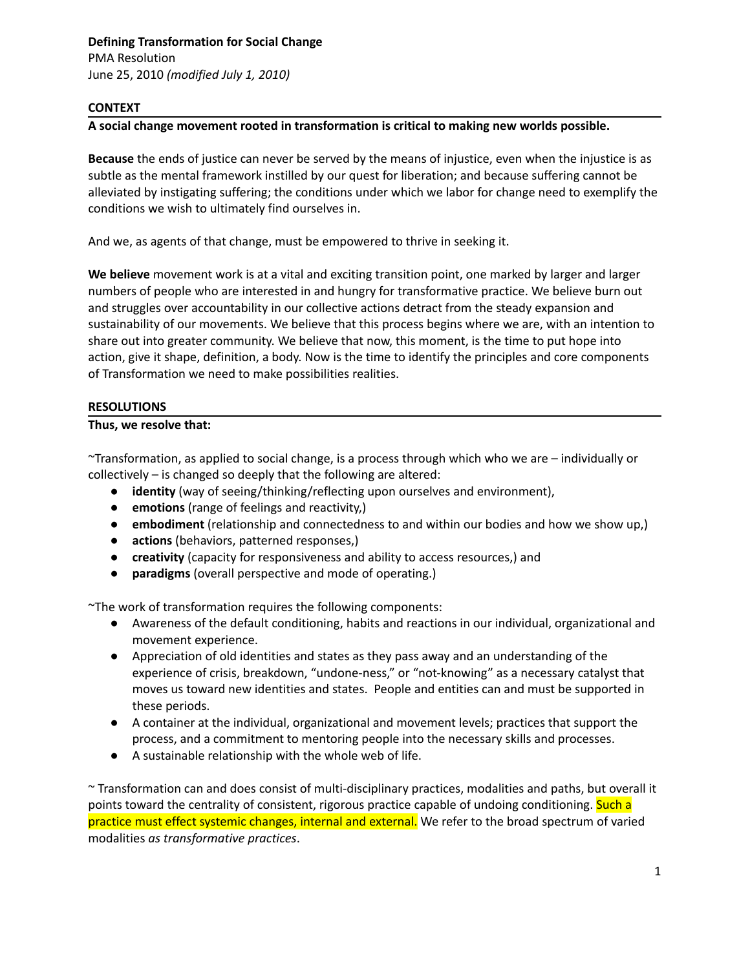PMA Resolution June 25, 2010 *(modified July 1, 2010)*

#### **CONTEXT**

#### **A social change movement rooted in transformation is critical to making new worlds possible.**

**Because** the ends of justice can never be served by the means of injustice, even when the injustice is as subtle as the mental framework instilled by our quest for liberation; and because suffering cannot be alleviated by instigating suffering; the conditions under which we labor for change need to exemplify the conditions we wish to ultimately find ourselves in.

And we, as agents of that change, must be empowered to thrive in seeking it.

**We believe** movement work is at a vital and exciting transition point, one marked by larger and larger numbers of people who are interested in and hungry for transformative practice. We believe burn out and struggles over accountability in our collective actions detract from the steady expansion and sustainability of our movements. We believe that this process begins where we are, with an intention to share out into greater community. We believe that now, this moment, is the time to put hope into action, give it shape, definition, a body. Now is the time to identify the principles and core components of Transformation we need to make possibilities realities.

# **RESOLUTIONS**

# **Thus, we resolve that:**

~Transformation, as applied to social change, is a process through which who we are – individually or collectively – is changed so deeply that the following are altered:

- **identity** (way of seeing/thinking/reflecting upon ourselves and environment),
- **emotions** (range of feelings and reactivity,)
- **embodiment** (relationship and connectedness to and within our bodies and how we show up,)
- **actions** (behaviors, patterned responses,)
- **creativity** (capacity for responsiveness and ability to access resources,) and
- **paradigms** (overall perspective and mode of operating.)

~The work of transformation requires the following components:

- Awareness of the default conditioning, habits and reactions in our individual, organizational and movement experience.
- Appreciation of old identities and states as they pass away and an understanding of the experience of crisis, breakdown, "undone-ness," or "not-knowing" as a necessary catalyst that moves us toward new identities and states. People and entities can and must be supported in these periods.
- A container at the individual, organizational and movement levels; practices that support the process, and a commitment to mentoring people into the necessary skills and processes.
- A sustainable relationship with the whole web of life.

~ Transformation can and does consist of multi-disciplinary practices, modalities and paths, but overall it points toward the centrality of consistent, rigorous practice capable of undoing conditioning. Such a practice must effect systemic changes, internal and external. We refer to the broad spectrum of varied modalities *as transformative practices*.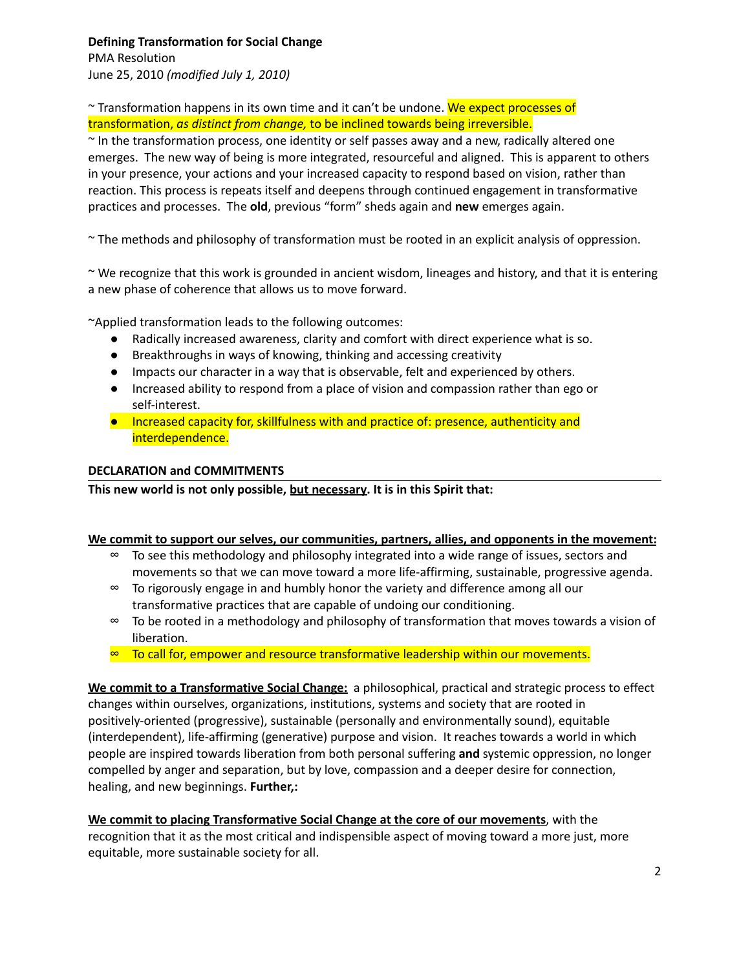# **Defining Transformation for Social Change**

PMA Resolution June 25, 2010 *(modified July 1, 2010)*

~ Transformation happens in its own time and it can't be undone. We expect processes of transformation, *as distinct from change,* to be inclined towards being irreversible.

~ In the transformation process, one identity or self passes away and a new, radically altered one emerges. The new way of being is more integrated, resourceful and aligned. This is apparent to others in your presence, your actions and your increased capacity to respond based on vision, rather than reaction. This process is repeats itself and deepens through continued engagement in transformative practices and processes. The **old**, previous "form" sheds again and **new** emerges again.

~ The methods and philosophy of transformation must be rooted in an explicit analysis of oppression.

~ We recognize that this work is grounded in ancient wisdom, lineages and history, and that it is entering a new phase of coherence that allows us to move forward.

~Applied transformation leads to the following outcomes:

- Radically increased awareness, clarity and comfort with direct experience what is so.
- Breakthroughs in ways of knowing, thinking and accessing creativity
- Impacts our character in a way that is observable, felt and experienced by others.
- Increased ability to respond from a place of vision and compassion rather than ego or self-interest.
- Increased capacity for, skillfulness with and practice of: presence, authenticity and interdependence.

# **DECLARATION and COMMITMENTS**

**This new world is not only possible, but necessary. It is in this Spirit that:**

# **We commit to support our selves, our communities, partners, allies, and opponents in the movement:**

- ∞ To see this methodology and philosophy integrated into a wide range of issues, sectors and movements so that we can move toward a more life-affirming, sustainable, progressive agenda.
- ∞ To rigorously engage in and humbly honor the variety and difference among all our transformative practices that are capable of undoing our conditioning.
- ∞ To be rooted in a methodology and philosophy of transformation that moves towards a vision of liberation.
- ∞ To call for, empower and resource transformative leadership within our movements.

**We commit to a Transformative Social Change:** a philosophical, practical and strategic process to effect changes within ourselves, organizations, institutions, systems and society that are rooted in positively-oriented (progressive), sustainable (personally and environmentally sound), equitable (interdependent), life-affirming (generative) purpose and vision. It reaches towards a world in which people are inspired towards liberation from both personal suffering **and** systemic oppression, no longer compelled by anger and separation, but by love, compassion and a deeper desire for connection, healing, and new beginnings. **Further,:**

**We commit to placing Transformative Social Change at the core of our movements**, with the recognition that it as the most critical and indispensible aspect of moving toward a more just, more equitable, more sustainable society for all.